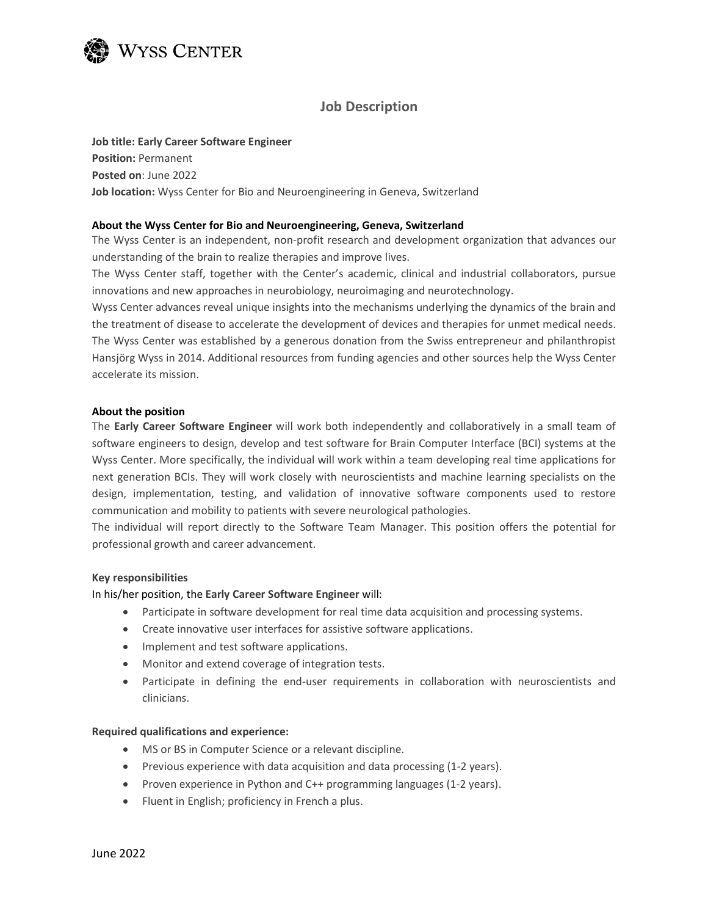

## Job Description

Job title: Early Career Software Engineer Position: Permanent Posted on: June 2022 Job location: Wyss Center for Bio and Neuroengineering in Geneva, Switzerland

### About the Wyss Center for Bio and Neuroengineering, Geneva, Switzerland

The Wyss Center is an independent, non-profit research and development organization that advances our understanding of the brain to realize therapies and improve lives.

The Wyss Center staff, together with the Center's academic, clinical and industrial collaborators, pursue innovations and new approaches in neurobiology, neuroimaging and neurotechnology.

Wyss Center advances reveal unique insights into the mechanisms underlying the dynamics of the brain and the treatment of disease to accelerate the development of devices and therapies for unmet medical needs. The Wyss Center was established by a generous donation from the Swiss entrepreneur and philanthropist Hansjörg Wyss in 2014. Additional resources from funding agencies and other sources help the Wyss Center accelerate its mission.

### About the position

The Early Career Software Engineer will work both independently and collaboratively in a small team of software engineers to design, develop and test software for Brain Computer Interface (BCI) systems at the Wyss Center. More specifically, the individual will work within a team developing real time applications for next generation BCIs. They will work closely with neuroscientists and machine learning specialists on the design, implementation, testing, and validation of innovative software components used to restore communication and mobility to patients with severe neurological pathologies.

The individual will report directly to the Software Team Manager. This position offers the potential for professional growth and career advancement.

# Key responsibilities<br>In his/her position, the Early Career Software Engineer will:

- Participate in software development for real time data acquisition and processing systems.
- Create innovative user interfaces for assistive software applications.
- Implement and test software applications.
- Monitor and extend coverage of integration tests.
- Participate in defining the end-user requirements in collaboration with neuroscientists and clinicians.

### Required qualifications and experience:

- MS or BS in Computer Science or a relevant discipline.
- Previous experience with data acquisition and data processing (1-2 years).
- Proven experience in Python and C++ programming languages (1-2 years).
- Fluent in English; proficiency in French a plus.